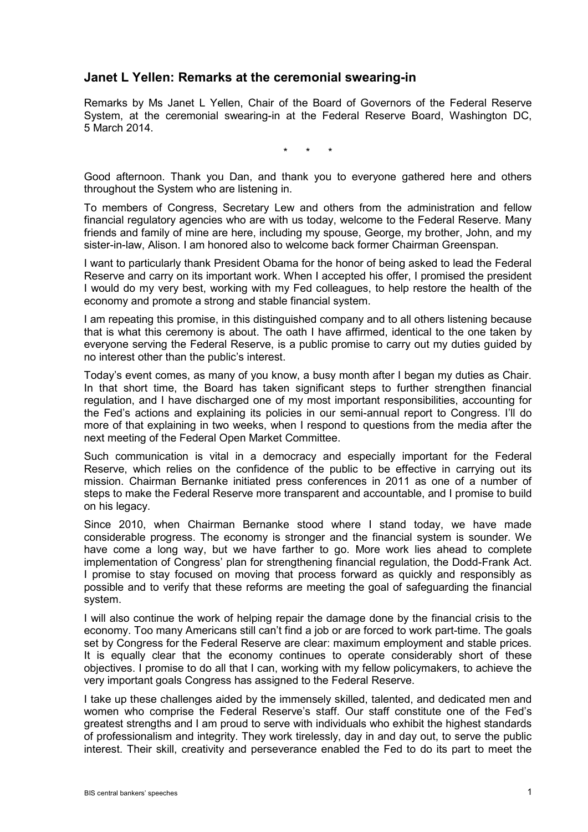## **Janet L Yellen: Remarks at the ceremonial swearing-in**

Remarks by Ms Janet L Yellen, Chair of the Board of Governors of the Federal Reserve System, at the ceremonial swearing-in at the Federal Reserve Board, Washington DC, 5 March 2014.

\* \* \*

Good afternoon. Thank you Dan, and thank you to everyone gathered here and others throughout the System who are listening in.

To members of Congress, Secretary Lew and others from the administration and fellow financial regulatory agencies who are with us today, welcome to the Federal Reserve. Many friends and family of mine are here, including my spouse, George, my brother, John, and my sister-in-law, Alison. I am honored also to welcome back former Chairman Greenspan.

I want to particularly thank President Obama for the honor of being asked to lead the Federal Reserve and carry on its important work. When I accepted his offer, I promised the president I would do my very best, working with my Fed colleagues, to help restore the health of the economy and promote a strong and stable financial system.

I am repeating this promise, in this distinguished company and to all others listening because that is what this ceremony is about. The oath I have affirmed, identical to the one taken by everyone serving the Federal Reserve, is a public promise to carry out my duties guided by no interest other than the public's interest.

Today's event comes, as many of you know, a busy month after I began my duties as Chair. In that short time, the Board has taken significant steps to further strengthen financial regulation, and I have discharged one of my most important responsibilities, accounting for the Fed's actions and explaining its policies in our semi-annual report to Congress. I'll do more of that explaining in two weeks, when I respond to questions from the media after the next meeting of the Federal Open Market Committee.

Such communication is vital in a democracy and especially important for the Federal Reserve, which relies on the confidence of the public to be effective in carrying out its mission. Chairman Bernanke initiated press conferences in 2011 as one of a number of steps to make the Federal Reserve more transparent and accountable, and I promise to build on his legacy.

Since 2010, when Chairman Bernanke stood where I stand today, we have made considerable progress. The economy is stronger and the financial system is sounder. We have come a long way, but we have farther to go. More work lies ahead to complete implementation of Congress' plan for strengthening financial regulation, the Dodd-Frank Act. I promise to stay focused on moving that process forward as quickly and responsibly as possible and to verify that these reforms are meeting the goal of safeguarding the financial system.

I will also continue the work of helping repair the damage done by the financial crisis to the economy. Too many Americans still can't find a job or are forced to work part-time. The goals set by Congress for the Federal Reserve are clear: maximum employment and stable prices. It is equally clear that the economy continues to operate considerably short of these objectives. I promise to do all that I can, working with my fellow policymakers, to achieve the very important goals Congress has assigned to the Federal Reserve.

I take up these challenges aided by the immensely skilled, talented, and dedicated men and women who comprise the Federal Reserve's staff. Our staff constitute one of the Fed's greatest strengths and I am proud to serve with individuals who exhibit the highest standards of professionalism and integrity. They work tirelessly, day in and day out, to serve the public interest. Their skill, creativity and perseverance enabled the Fed to do its part to meet the